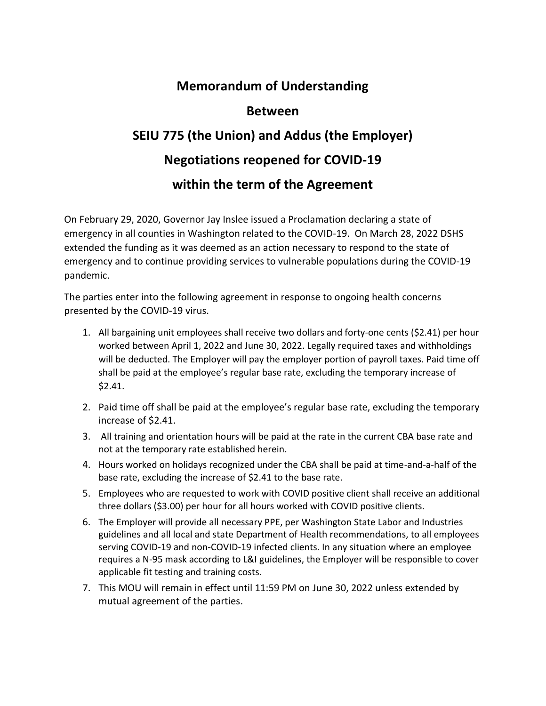## **Memorandum of Understanding**

## **Between**

## **SEIU 775 (the Union) and Addus (the Employer) Negotiations reopened for COVID-19 within the term of the Agreement**

On February 29, 2020, Governor Jay Inslee issued a Proclamation declaring a state of emergency in all counties in Washington related to the COVID-19. On March 28, 2022 DSHS extended the funding as it was deemed as an action necessary to respond to the state of emergency and to continue providing services to vulnerable populations during the COVID-19 pandemic.

The parties enter into the following agreement in response to ongoing health concerns presented by the COVID-19 virus.

- 1. All bargaining unit employees shall receive two dollars and forty-one cents (\$2.41) per hour worked between April 1, 2022 and June 30, 2022. Legally required taxes and withholdings will be deducted. The Employer will pay the employer portion of payroll taxes. Paid time off shall be paid at the employee's regular base rate, excluding the temporary increase of \$2.41.
- 2. Paid time off shall be paid at the employee's regular base rate, excluding the temporary increase of \$2.41.
- 3. All training and orientation hours will be paid at the rate in the current CBA base rate and not at the temporary rate established herein.
- 4. Hours worked on holidays recognized under the CBA shall be paid at time-and-a-half of the base rate, excluding the increase of \$2.41 to the base rate.
- 5. Employees who are requested to work with COVID positive client shall receive an additional three dollars (\$3.00) per hour for all hours worked with COVID positive clients.
- 6. The Employer will provide all necessary PPE, per Washington State Labor and Industries guidelines and all local and state Department of Health recommendations, to all employees serving COVID-19 and non-COVID-19 infected clients. In any situation where an employee requires a N-95 mask according to L&I guidelines, the Employer will be responsible to cover applicable fit testing and training costs.
- 7. This MOU will remain in effect until 11:59 PM on June 30, 2022 unless extended by mutual agreement of the parties.